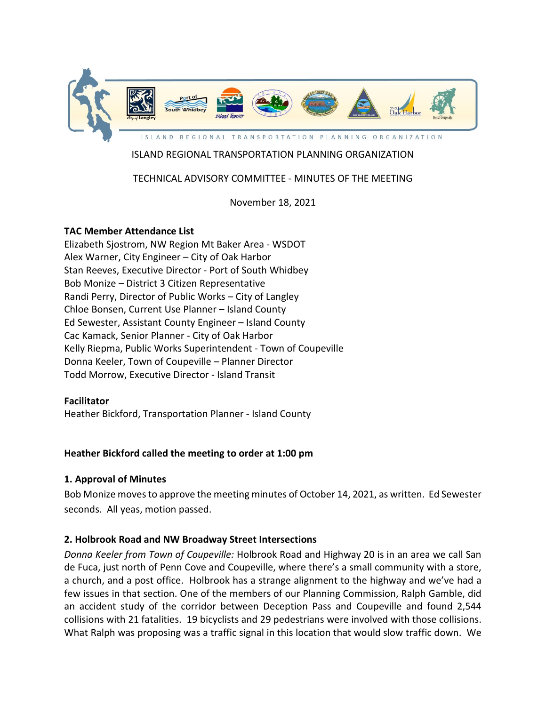

# ISLAND REGIONAL TRANSPORTATION PLANNING ORGANIZATION

## TECHNICAL ADVISORY COMMITTEE - MINUTES OF THE MEETING

November 18, 2021

### **TAC Member Attendance List**

Elizabeth Sjostrom, NW Region Mt Baker Area - WSDOT Alex Warner, City Engineer – City of Oak Harbor Stan Reeves, Executive Director - Port of South Whidbey Bob Monize – District 3 Citizen Representative Randi Perry, Director of Public Works – City of Langley Chloe Bonsen, Current Use Planner – Island County Ed Sewester, Assistant County Engineer – Island County Cac Kamack, Senior Planner - City of Oak Harbor Kelly Riepma, Public Works Superintendent - Town of Coupeville Donna Keeler, Town of Coupeville – Planner Director Todd Morrow, Executive Director - Island Transit

#### **Facilitator**

Heather Bickford, Transportation Planner - Island County

#### **Heather Bickford called the meeting to order at 1:00 pm**

#### **1. Approval of Minutes**

Bob Monize movesto approve the meeting minutes of October 14, 2021, as written. Ed Sewester seconds. All yeas, motion passed.

#### **2. Holbrook Road and NW Broadway Street Intersections**

*Donna Keeler from Town of Coupeville:* Holbrook Road and Highway 20 is in an area we call San de Fuca, just north of Penn Cove and Coupeville, where there's a small community with a store, a church, and a post office. Holbrook has a strange alignment to the highway and we've had a few issues in that section. One of the members of our Planning Commission, Ralph Gamble, did an accident study of the corridor between Deception Pass and Coupeville and found 2,544 collisions with 21 fatalities. 19 bicyclists and 29 pedestrians were involved with those collisions. What Ralph was proposing was a traffic signal in this location that would slow traffic down. We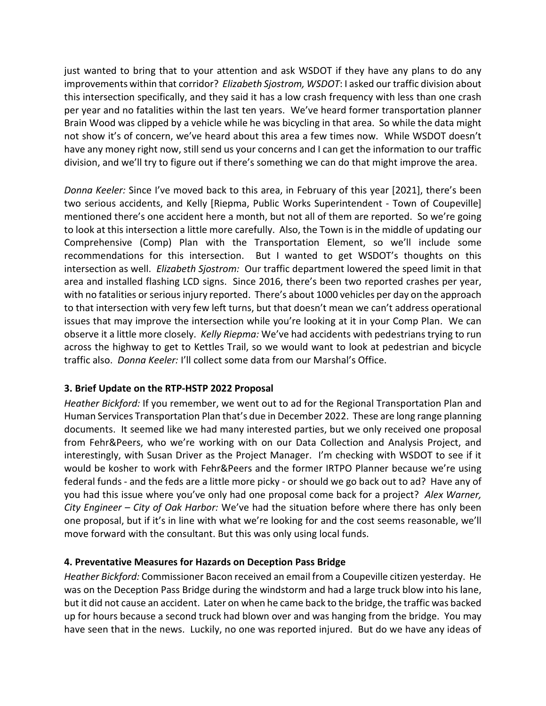just wanted to bring that to your attention and ask WSDOT if they have any plans to do any improvements within that corridor? *Elizabeth Sjostrom, WSDOT*: I asked our traffic division about this intersection specifically, and they said it has a low crash frequency with less than one crash per year and no fatalities within the last ten years. We've heard former transportation planner Brain Wood was clipped by a vehicle while he was bicycling in that area. So while the data might not show it's of concern, we've heard about this area a few times now. While WSDOT doesn't have any money right now, still send us your concerns and I can get the information to our traffic division, and we'll try to figure out if there's something we can do that might improve the area.

*Donna Keeler:* Since I've moved back to this area, in February of this year [2021], there's been two serious accidents, and Kelly [Riepma, Public Works Superintendent - Town of Coupeville] mentioned there's one accident here a month, but not all of them are reported. So we're going to look at this intersection a little more carefully. Also, the Town is in the middle of updating our Comprehensive (Comp) Plan with the Transportation Element, so we'll include some recommendations for this intersection. But I wanted to get WSDOT's thoughts on this intersection as well. *Elizabeth Sjostrom:* Our traffic department lowered the speed limit in that area and installed flashing LCD signs. Since 2016, there's been two reported crashes per year, with no fatalities or serious injury reported. There's about 1000 vehicles per day on the approach to that intersection with very few left turns, but that doesn't mean we can't address operational issues that may improve the intersection while you're looking at it in your Comp Plan. We can observe it a little more closely. *Kelly Riepma:* We've had accidents with pedestrians trying to run across the highway to get to Kettles Trail, so we would want to look at pedestrian and bicycle traffic also. *Donna Keeler:* I'll collect some data from our Marshal's Office.

## **3. Brief Update on the RTP-HSTP 2022 Proposal**

*Heather Bickford:* If you remember, we went out to ad for the Regional Transportation Plan and Human Services Transportation Plan that's due in December 2022. These are long range planning documents. It seemed like we had many interested parties, but we only received one proposal from Fehr&Peers, who we're working with on our Data Collection and Analysis Project, and interestingly, with Susan Driver as the Project Manager. I'm checking with WSDOT to see if it would be kosher to work with Fehr&Peers and the former IRTPO Planner because we're using federal funds - and the feds are a little more picky - or should we go back out to ad? Have any of you had this issue where you've only had one proposal come back for a project? *Alex Warner, City Engineer – City of Oak Harbor:* We've had the situation before where there has only been one proposal, but if it's in line with what we're looking for and the cost seems reasonable, we'll move forward with the consultant. But this was only using local funds.

## **4. Preventative Measures for Hazards on Deception Pass Bridge**

*Heather Bickford:* Commissioner Bacon received an email from a Coupeville citizen yesterday. He was on the Deception Pass Bridge during the windstorm and had a large truck blow into his lane, but it did not cause an accident. Later on when he came back to the bridge, the traffic was backed up for hours because a second truck had blown over and was hanging from the bridge. You may have seen that in the news. Luckily, no one was reported injured. But do we have any ideas of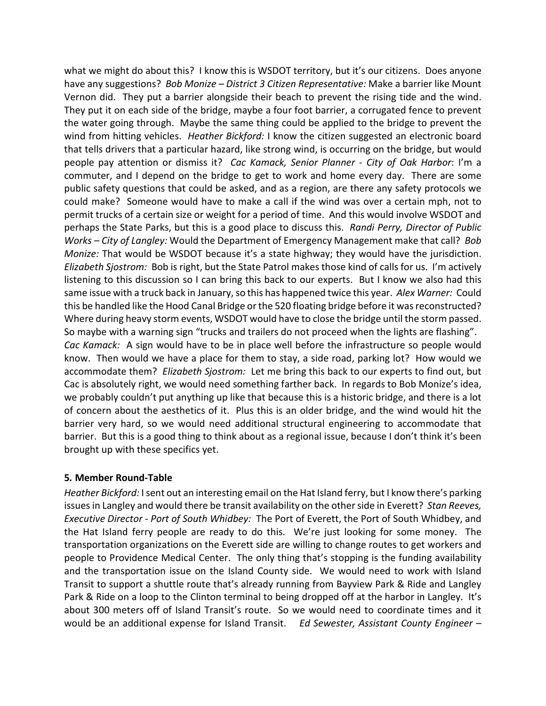what we might do about this? I know this is WSDOT territory, but it's our citizens. Does anyone have any suggestions? *Bob Monize – District 3 Citizen Representative:* Make a barrier like Mount Vernon did. They put a barrier alongside their beach to prevent the rising tide and the wind. They put it on each side of the bridge, maybe a four foot barrier, a corrugated fence to prevent the water going through. Maybe the same thing could be applied to the bridge to prevent the wind from hitting vehicles. *Heather Bickford:* I know the citizen suggested an electronic board that tells drivers that a particular hazard, like strong wind, is occurring on the bridge, but would people pay attention or dismiss it? *Cac Kamack, Senior Planner - City of Oak Harbor*: I'm a commuter, and I depend on the bridge to get to work and home every day. There are some public safety questions that could be asked, and as a region, are there any safety protocols we could make? Someone would have to make a call if the wind was over a certain mph, not to permit trucks of a certain size or weight for a period of time. And this would involve WSDOT and perhaps the State Parks, but this is a good place to discuss this. *Randi Perry, Director of Public Works – City of Langley:* Would the Department of Emergency Management make that call? *Bob Monize:* That would be WSDOT because it's a state highway; they would have the jurisdiction. *Elizabeth Sjostrom:* Bob is right, but the State Patrol makes those kind of calls for us. I'm actively listening to this discussion so I can bring this back to our experts. But I know we also had this same issue with a truck back in January, so this has happened twice this year. *Alex Warner:* Could this be handled like the Hood Canal Bridge or the 520 floating bridge before it was reconstructed? Where during heavy storm events, WSDOT would have to close the bridge until the storm passed. So maybe with a warning sign "trucks and trailers do not proceed when the lights are flashing". *Cac Kamack:* A sign would have to be in place well before the infrastructure so people would know. Then would we have a place for them to stay, a side road, parking lot? How would we accommodate them? *Elizabeth Sjostrom:* Let me bring this back to our experts to find out, but Cac is absolutely right, we would need something farther back. In regards to Bob Monize's idea, we probably couldn't put anything up like that because this is a historic bridge, and there is a lot of concern about the aesthetics of it. Plus this is an older bridge, and the wind would hit the barrier very hard, so we would need additional structural engineering to accommodate that barrier. But this is a good thing to think about as a regional issue, because I don't think it's been brought up with these specifics yet.

#### **5***.* **Member Round-Table**

*Heather Bickford:* I sent out an interesting email on the Hat Island ferry, but I know there's parking issues in Langley and would there be transit availability on the other side in Everett? *Stan Reeves, Executive Director - Port of South Whidbey:* The Port of Everett, the Port of South Whidbey, and the Hat Island ferry people are ready to do this. We're just looking for some money. The transportation organizations on the Everett side are willing to change routes to get workers and people to Providence Medical Center. The only thing that's stopping is the funding availability and the transportation issue on the Island County side. We would need to work with Island Transit to support a shuttle route that's already running from Bayview Park & Ride and Langley Park & Ride on a loop to the Clinton terminal to being dropped off at the harbor in Langley. It's about 300 meters off of Island Transit's route. So we would need to coordinate times and it would be an additional expense for Island Transit. *Ed Sewester, Assistant County Engineer –*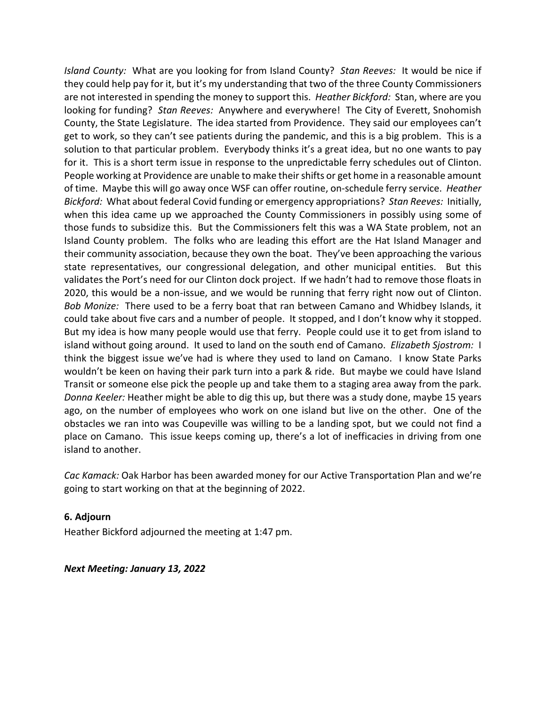*Island County:* What are you looking for from Island County? *Stan Reeves:* It would be nice if they could help pay for it, but it's my understanding that two of the three County Commissioners are not interested in spending the money to support this. *Heather Bickford:* Stan, where are you looking for funding? *Stan Reeves:* Anywhere and everywhere! The City of Everett, Snohomish County, the State Legislature. The idea started from Providence. They said our employees can't get to work, so they can't see patients during the pandemic, and this is a big problem. This is a solution to that particular problem. Everybody thinks it's a great idea, but no one wants to pay for it. This is a short term issue in response to the unpredictable ferry schedules out of Clinton. People working at Providence are unable to make their shifts or get home in a reasonable amount of time. Maybe this will go away once WSF can offer routine, on-schedule ferry service. *Heather Bickford:* What about federal Covid funding or emergency appropriations? *Stan Reeves:* Initially, when this idea came up we approached the County Commissioners in possibly using some of those funds to subsidize this. But the Commissioners felt this was a WA State problem, not an Island County problem. The folks who are leading this effort are the Hat Island Manager and their community association, because they own the boat. They've been approaching the various state representatives, our congressional delegation, and other municipal entities. But this validates the Port's need for our Clinton dock project. If we hadn't had to remove those floats in 2020, this would be a non-issue, and we would be running that ferry right now out of Clinton. *Bob Monize:* There used to be a ferry boat that ran between Camano and Whidbey Islands, it could take about five cars and a number of people. It stopped, and I don't know why it stopped. But my idea is how many people would use that ferry. People could use it to get from island to island without going around. It used to land on the south end of Camano. *Elizabeth Sjostrom:* I think the biggest issue we've had is where they used to land on Camano. I know State Parks wouldn't be keen on having their park turn into a park & ride. But maybe we could have Island Transit or someone else pick the people up and take them to a staging area away from the park. *Donna Keeler:* Heather might be able to dig this up, but there was a study done, maybe 15 years ago, on the number of employees who work on one island but live on the other. One of the obstacles we ran into was Coupeville was willing to be a landing spot, but we could not find a place on Camano. This issue keeps coming up, there's a lot of inefficacies in driving from one island to another.

*Cac Kamack:* Oak Harbor has been awarded money for our Active Transportation Plan and we're going to start working on that at the beginning of 2022.

#### **6. Adjourn**

Heather Bickford adjourned the meeting at 1:47 pm.

*Next Meeting: January 13, 2022*